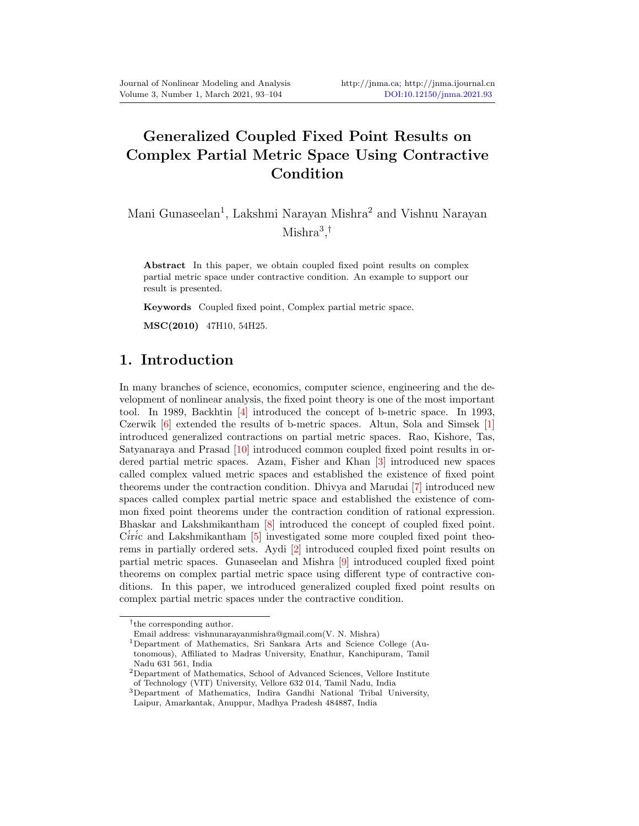# Generalized Coupled Fixed Point Results on Complex Partial Metric Space Using Contractive Condition

Mani Gunaseelan<sup>1</sup>, Lakshmi Narayan Mishra<sup>2</sup> and Vishnu Narayan Mishra<sup>3</sup> , †

Abstract In this paper, we obtain coupled fixed point results on complex partial metric space under contractive condition. An example to support our result is presented.

Keywords Coupled fixed point, Complex partial metric space.

MSC(2010) 47H10, 54H25.

# 1. Introduction

In many branches of science, economics, computer science, engineering and the development of nonlinear analysis, the fixed point theory is one of the most important tool. In 1989, Backhtin [\[4\]](#page-11-1) introduced the concept of b-metric space. In 1993, Czerwik [\[6\]](#page-11-2) extended the results of b-metric spaces. Altun, Sola and Simsek [\[1\]](#page-11-3) introduced generalized contractions on partial metric spaces. Rao, Kishore, Tas, Satyanaraya and Prasad [\[10\]](#page-11-4) introduced common coupled fixed point results in ordered partial metric spaces. Azam, Fisher and Khan [\[3\]](#page-11-5) introduced new spaces called complex valued metric spaces and established the existence of fixed point theorems under the contraction condition. Dhivya and Marudai [\[7\]](#page-11-6) introduced new spaces called complex partial metric space and established the existence of common fixed point theorems under the contraction condition of rational expression. Bhaskar and Lakshmikantham [\[8\]](#page-11-7) introduced the concept of coupled fixed point. C $iric$  and Lakshmikantham  $[5]$  investigated some more coupled fixed point theorems in partially ordered sets. Aydi [\[2\]](#page-11-9) introduced coupled fixed point results on partial metric spaces. Gunaseelan and Mishra [\[9\]](#page-11-10) introduced coupled fixed point theorems on complex partial metric space using different type of contractive conditions. In this paper, we introduced generalized coupled fixed point results on complex partial metric spaces under the contractive condition.

<sup>†</sup> the corresponding author.

Email address: vishnunarayanmishra@gmail.com(V. N. Mishra)

<sup>1</sup>Department of Mathematics, Sri Sankara Arts and Science College (Autonomous), Affiliated to Madras University, Enathur, Kanchipuram, Tamil Nadu 631 561, India

 ${}^{2}$ Department of Mathematics, School of Advanced Sciences, Vellore Institute of Technology (VIT) University, Vellore 632 014, Tamil Nadu, India

<sup>3</sup>Department of Mathematics, Indira Gandhi National Tribal University, Laipur, Amarkantak, Anuppur, Madhya Pradesh 484887, India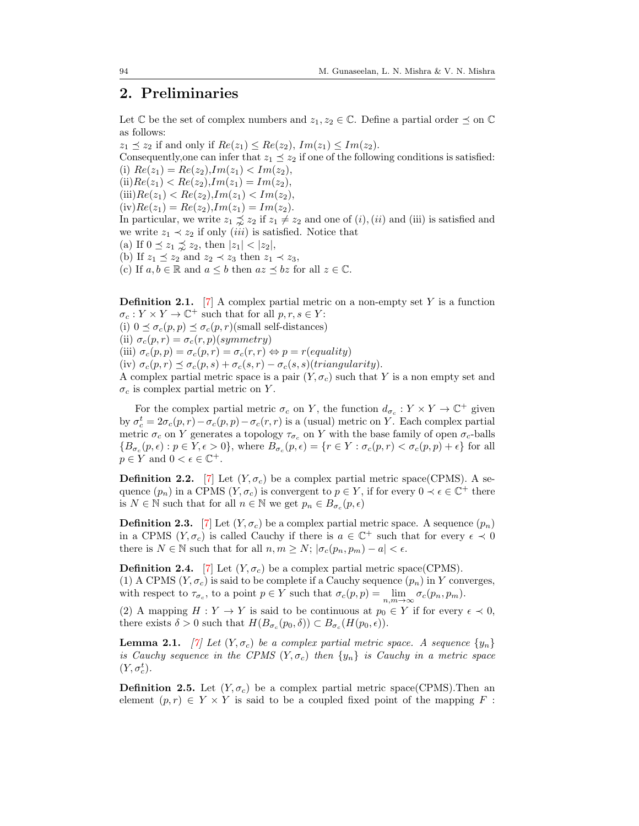# 2. Preliminaries

Let  $\mathbb C$  be the set of complex numbers and  $z_1, z_2 \in \mathbb C$ . Define a partial order  $\preceq$  on  $\mathbb C$ as follows:

 $z_1 \preceq z_2$  if and only if  $Re(z_1) \leq Re(z_2)$ ,  $Im(z_1) \leq Im(z_2)$ . Consequently, one can infer that  $z_1 \preceq z_2$  if one of the following conditions is satisfied: (i)  $Re(z_1) = Re(z_2)$ ,  $Im(z_1) < Im(z_2)$ , (ii) $Re(z_1) < Re(z_2)$ ,  $Im(z_1) = Im(z_2)$ ,  $(iii)Re(z_1) < Re(z_2), Im(z_1) < Im(z_2),$  $(iv)Re(z_1) = Re(z_2)$ ,  $Im(z_1) = Im(z_2)$ . In particular, we write  $z_1 \precsim z_2$  if  $z_1 \neq z_2$  and one of  $(i)$ ,  $(ii)$  and (iii) is satisfied and we write  $z_1 \prec z_2$  if only *(iii)* is satisfied. Notice that (a) If  $0 \le z_1 \le z_2$ , then  $|z_1| < |z_2|$ , (b) If  $z_1 \preceq z_2$  and  $z_2 \prec z_3$  then  $z_1 \prec z_3$ , (c) If  $a, b \in \mathbb{R}$  and  $a \leq b$  then  $az \leq bz$  for all  $z \in \mathbb{C}$ .

**Definition 2.1.** [\[7\]](#page-11-6) A complex partial metric on a non-empty set Y is a function  $\sigma_c: Y \times Y \to \mathbb{C}^+$  such that for all  $p, r, s \in Y$ : (i)  $0 \leq \sigma_c(p, p) \leq \sigma_c(p, r)$ (small self-distances) (ii)  $\sigma_c(p,r) = \sigma_c(r,p)(symmetry)$ (iii)  $\sigma_c(p,p) = \sigma_c(p,r) = \sigma_c(r,r) \Leftrightarrow p = r(\text{equality})$ (iv)  $\sigma_c(p,r) \preceq \sigma_c(p,s) + \sigma_c(s,r) - \sigma_c(s,s)$ (triangularity). A complex partial metric space is a pair  $(Y, \sigma_c)$  such that Y is a non empty set and  $\sigma_c$  is complex partial metric on Y.

For the complex partial metric  $\sigma_c$  on Y, the function  $d_{\sigma_c}: Y \times Y \to \mathbb{C}^+$  given by  $\sigma_c^t = 2\sigma_c(p,r) - \sigma_c(p,p) - \sigma_c(r,r)$  is a (usual) metric on Y. Each complex partial metric  $\sigma_c$  on Y generates a topology  $\tau_{\sigma_c}$  on Y with the base family of open  $\sigma_c$ -balls  ${B_{\sigma_c}(p,\epsilon) : p \in Y, \epsilon > 0},$  where  $B_{\sigma_c}(p,\epsilon) = {r \in Y : \sigma_c(p,r) < \sigma_c(p,p) + \epsilon}$  for all  $p \in Y$  and  $0 < \epsilon \in \mathbb{C}^+$ .

**Definition 2.2.** [\[7\]](#page-11-6) Let  $(Y, \sigma_c)$  be a complex partial metric space(CPMS). A sequence  $(p_n)$  in a CPMS  $(Y, \sigma_c)$  is convergent to  $p \in Y$ , if for every  $0 \prec \epsilon \in \mathbb{C}^+$  there is  $N \in \mathbb{N}$  such that for all  $n \in \mathbb{N}$  we get  $p_n \in B_{\sigma_c}(p, \epsilon)$ 

**Definition 2.3.** [\[7\]](#page-11-6) Let  $(Y, \sigma_c)$  be a complex partial metric space. A sequence  $(p_n)$ in a CPMS  $(Y, \sigma_c)$  is called Cauchy if there is  $a \in \mathbb{C}^+$  such that for every  $\epsilon \prec 0$ there is  $N \in \mathbb{N}$  such that for all  $n, m \geq N$ ;  $|\sigma_c(p_n, p_m) - a| < \epsilon$ .

**Definition 2.4.** [\[7\]](#page-11-6) Let  $(Y, \sigma_c)$  be a complex partial metric space(CPMS). (1) A CPMS  $(Y, \sigma_c)$  is said to be complete if a Cauchy sequence  $(p_n)$  in Y converges, with respect to  $\tau_{\sigma_c}$ , to a point  $p \in Y$  such that  $\sigma_c(p, p) = \lim_{n,m \to \infty} \sigma_c(p_n, p_m)$ .

(2) A mapping  $H: Y \to Y$  is said to be continuous at  $p_0 \in Y$  if for every  $\epsilon \prec 0$ , there exists  $\delta > 0$  such that  $H(B_{\sigma_c}(p_0, \delta)) \subset B_{\sigma_c}(H(p_0, \epsilon)).$ 

**Lemma 2.1.** [\[7\]](#page-11-6) Let  $(Y, \sigma_c)$  be a complex partial metric space. A sequence  $\{y_n\}$ is Cauchy sequence in the CPMS  $(Y, \sigma_c)$  then  $\{y_n\}$  is Cauchy in a metric space  $(Y, \sigma_c^t)$ .

**Definition 2.5.** Let  $(Y, \sigma_c)$  be a complex partial metric space(CPMS). Then an element  $(p, r) \in Y \times Y$  is said to be a coupled fixed point of the mapping F: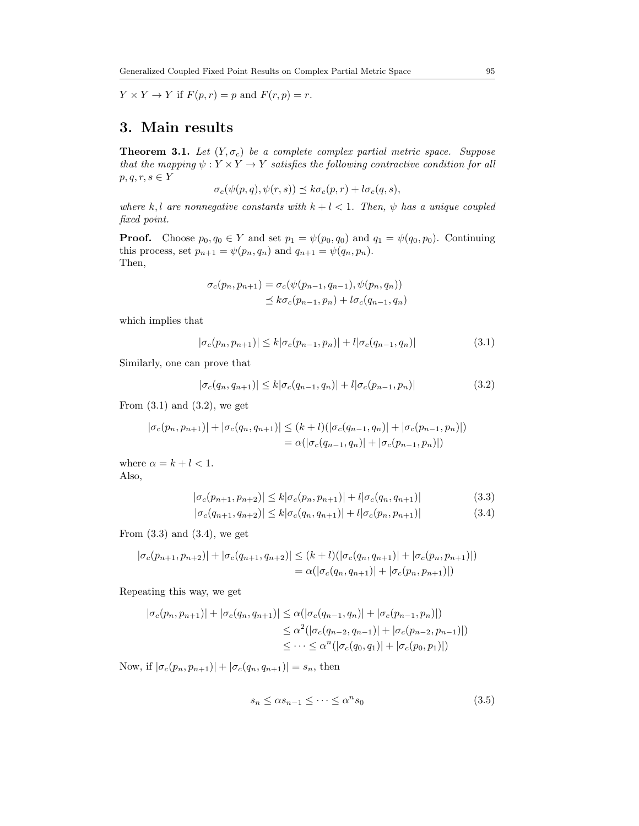$Y \times Y \to Y$  if  $F(p,r) = p$  and  $F(r,p) = r$ .

# 3. Main results

<span id="page-2-4"></span>**Theorem 3.1.** Let  $(Y, \sigma_c)$  be a complete complex partial metric space. Suppose that the mapping  $\psi: Y \times Y \to Y$  satisfies the following contractive condition for all  $p, q, r, s \in Y$ 

$$
\sigma_c(\psi(p,q), \psi(r,s)) \preceq k \sigma_c(p,r) + l \sigma_c(q,s),
$$

where k, l are nonnegative constants with  $k + l < 1$ . Then,  $\psi$  has a unique coupled fixed point.

**Proof.** Choose  $p_0, q_0 \in Y$  and set  $p_1 = \psi(p_0, q_0)$  and  $q_1 = \psi(q_0, p_0)$ . Continuing this process, set  $p_{n+1} = \psi(p_n, q_n)$  and  $q_{n+1} = \psi(q_n, p_n)$ . Then,

<span id="page-2-0"></span>
$$
\sigma_c(p_n, p_{n+1}) = \sigma_c(\psi(p_{n-1}, q_{n-1}), \psi(p_n, q_n))
$$
  

$$
\leq k \sigma_c(p_{n-1}, p_n) + l \sigma_c(q_{n-1}, q_n)
$$

which implies that

<span id="page-2-1"></span>
$$
|\sigma_c(p_n, p_{n+1})| \le k |\sigma_c(p_{n-1}, p_n)| + l |\sigma_c(q_{n-1}, q_n)| \tag{3.1}
$$

Similarly, one can prove that

$$
|\sigma_c(q_n, q_{n+1})| \le k |\sigma_c(q_{n-1}, q_n)| + l |\sigma_c(p_{n-1}, p_n)| \tag{3.2}
$$

From  $(3.1)$  and  $(3.2)$ , we get

$$
|\sigma_c(p_n, p_{n+1})| + |\sigma_c(q_n, q_{n+1})| \le (k+l)(|\sigma_c(q_{n-1}, q_n)| + |\sigma_c(p_{n-1}, p_n)|)
$$
  
=  $\alpha(|\sigma_c(q_{n-1}, q_n)| + |\sigma_c(p_{n-1}, p_n)|)$ 

where  $\alpha = k + l < 1$ . Also,

<span id="page-2-2"></span>
$$
|\sigma_c(p_{n+1}, p_{n+2})| \le k |\sigma_c(p_n, p_{n+1})| + l |\sigma_c(q_n, q_{n+1})| \tag{3.3}
$$

<span id="page-2-3"></span>
$$
|\sigma_c(q_{n+1}, q_{n+2})| \le k |\sigma_c(q_n, q_{n+1})| + l |\sigma_c(p_n, p_{n+1})|
$$
\n(3.4)

From  $(3.3)$  and  $(3.4)$ , we get

$$
|\sigma_c(p_{n+1}, p_{n+2})| + |\sigma_c(q_{n+1}, q_{n+2})| \le (k+l)(|\sigma_c(q_n, q_{n+1})| + |\sigma_c(p_n, p_{n+1})|)
$$
  
=  $\alpha(|\sigma_c(q_n, q_{n+1})| + |\sigma_c(p_n, p_{n+1})|)$ 

Repeating this way, we get

$$
|\sigma_c(p_n, p_{n+1})| + |\sigma_c(q_n, q_{n+1})| \leq \alpha(|\sigma_c(q_{n-1}, q_n)| + |\sigma_c(p_{n-1}, p_n)|)
$$
  
\n
$$
\leq \alpha^2(|\sigma_c(q_{n-2}, q_{n-1})| + |\sigma_c(p_{n-2}, p_{n-1})|)
$$
  
\n
$$
\leq \cdots \leq \alpha^n(|\sigma_c(q_0, q_1)| + |\sigma_c(p_0, p_1)|)
$$

Now, if  $|\sigma_c(p_n, p_{n+1})| + |\sigma_c(q_n, q_{n+1})| = s_n$ , then

$$
s_n \le \alpha s_{n-1} \le \dots \le \alpha^n s_0 \tag{3.5}
$$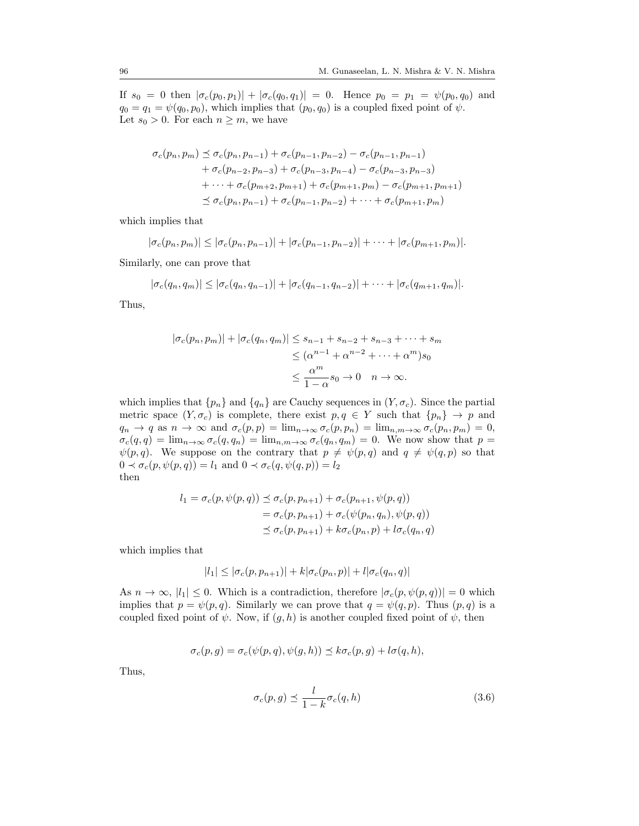If  $s_0 = 0$  then  $|\sigma_c(p_0, p_1)| + |\sigma_c(q_0, q_1)| = 0$ . Hence  $p_0 = p_1 = \psi(p_0, q_0)$  and  $q_0 = q_1 = \psi(q_0, p_0)$ , which implies that  $(p_0, q_0)$  is a coupled fixed point of  $\psi$ . Let  $s_0 > 0$ . For each  $n \geq m$ , we have

$$
\sigma_c(p_n, p_m) \preceq \sigma_c(p_n, p_{n-1}) + \sigma_c(p_{n-1}, p_{n-2}) - \sigma_c(p_{n-1}, p_{n-1}) \n+ \sigma_c(p_{n-2}, p_{n-3}) + \sigma_c(p_{n-3}, p_{n-4}) - \sigma_c(p_{n-3}, p_{n-3}) \n+ \cdots + \sigma_c(p_{m+2}, p_{m+1}) + \sigma_c(p_{m+1}, p_m) - \sigma_c(p_{m+1}, p_{m+1}) \n\preceq \sigma_c(p_n, p_{n-1}) + \sigma_c(p_{n-1}, p_{n-2}) + \cdots + \sigma_c(p_{m+1}, p_m)
$$

which implies that

$$
|\sigma_c(p_n, p_m)| \leq |\sigma_c(p_n, p_{n-1})| + |\sigma_c(p_{n-1}, p_{n-2})| + \cdots + |\sigma_c(p_{m+1}, p_m)|.
$$

Similarly, one can prove that

$$
|\sigma_c(q_n, q_m)| \leq |\sigma_c(q_n, q_{n-1})| + |\sigma_c(q_{n-1}, q_{n-2})| + \cdots + |\sigma_c(q_{m+1}, q_m)|.
$$

Thus,

$$
|\sigma_c(p_n, p_m)| + |\sigma_c(q_n, q_m)| \le s_{n-1} + s_{n-2} + s_{n-3} + \dots + s_m
$$
  
\n
$$
\le (\alpha^{n-1} + \alpha^{n-2} + \dots + \alpha^m) s_0
$$
  
\n
$$
\le \frac{\alpha^m}{1 - \alpha} s_0 \to 0 \quad n \to \infty.
$$

which implies that  $\{p_n\}$  and  $\{q_n\}$  are Cauchy sequences in  $(Y, \sigma_c)$ . Since the partial metric space  $(Y, \sigma_c)$  is complete, there exist  $p, q \in Y$  such that  $\{p_n\} \to p$  and  $q_n \to q$  as  $n \to \infty$  and  $\sigma_c(p,p) = \lim_{n \to \infty} \sigma_c(p,p_n) = \lim_{n,m \to \infty} \sigma_c(p_n, p_m) = 0$ ,  $\sigma_c(q,q) = \lim_{n \to \infty} \sigma_c(q,q_n) = \lim_{n,m \to \infty} \sigma_c(q_n,q_m) = 0$ . We now show that  $p =$  $\psi(p,q)$ . We suppose on the contrary that  $p \neq \psi(p,q)$  and  $q \neq \psi(q,p)$  so that  $0 \prec \sigma_c(p, \psi(p,q)) = l_1$  and  $0 \prec \sigma_c(q, \psi(q,p)) = l_2$ then

$$
l_1 = \sigma_c(p, \psi(p, q)) \preceq \sigma_c(p, p_{n+1}) + \sigma_c(p_{n+1}, \psi(p, q))
$$
  
=  $\sigma_c(p, p_{n+1}) + \sigma_c(\psi(p_n, q_n), \psi(p, q))$   
 $\preceq \sigma_c(p, p_{n+1}) + k\sigma_c(p_n, p) + l\sigma_c(q_n, q)$ 

which implies that

$$
|l_1| \leq |\sigma_c(p, p_{n+1})| + k|\sigma_c(p_n, p)| + l|\sigma_c(q_n, q)|
$$

As  $n \to \infty$ ,  $|l_1| \leq 0$ . Which is a contradiction, therefore  $|\sigma_c(p, \psi(p, q))| = 0$  which implies that  $p = \psi(p, q)$ . Similarly we can prove that  $q = \psi(q, p)$ . Thus  $(p, q)$  is a coupled fixed point of  $\psi$ . Now, if  $(q, h)$  is another coupled fixed point of  $\psi$ , then

$$
\sigma_c(p,g) = \sigma_c(\psi(p,q), \psi(g,h)) \preceq k \sigma_c(p,g) + l \sigma(q,h),
$$

Thus,

$$
\sigma_c(p,g) \preceq \frac{l}{1-k} \sigma_c(q,h) \tag{3.6}
$$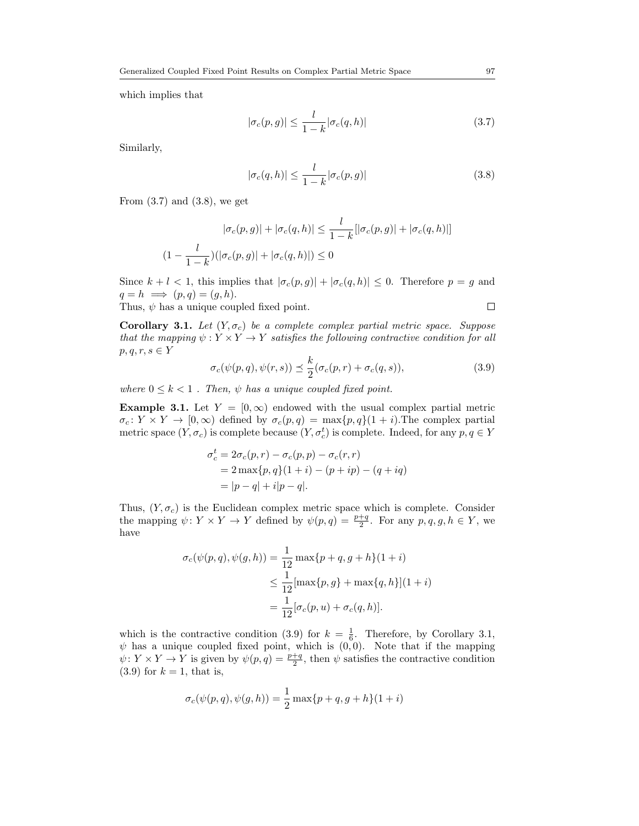which implies that

<span id="page-4-0"></span>
$$
|\sigma_c(p,g)| \le \frac{l}{1-k} |\sigma_c(q,h)| \tag{3.7}
$$

Similarly,

<span id="page-4-1"></span>
$$
|\sigma_c(q,h)| \le \frac{l}{1-k} |\sigma_c(p,g)| \tag{3.8}
$$

From  $(3.7)$  and  $(3.8)$ , we get

$$
|\sigma_c(p,g)| + |\sigma_c(q,h)| \le \frac{l}{1-k} [|\sigma_c(p,g)| + |\sigma_c(q,h)|]
$$
  

$$
(1 - \frac{l}{1-k})(|\sigma_c(p,g)| + |\sigma_c(q,h)|) \le 0
$$

Since  $k + l < 1$ , this implies that  $|\sigma_c(p, g)| + |\sigma_c(q, h)| \leq 0$ . Therefore  $p = g$  and  $q = h \implies (p, q) = (g, h).$  $\Box$ 

Thus,  $\psi$  has a unique coupled fixed point.

<span id="page-4-3"></span>Corollary 3.1. Let  $(Y, \sigma_c)$  be a complete complex partial metric space. Suppose that the mapping  $\psi: Y \times Y \to Y$  satisfies the following contractive condition for all  $p, q, r, s \in Y$ 

<span id="page-4-2"></span>
$$
\sigma_c(\psi(p,q), \psi(r,s)) \preceq \frac{k}{2} (\sigma_c(p,r) + \sigma_c(q,s)), \tag{3.9}
$$

where  $0 \leq k < 1$ . Then,  $\psi$  has a unique coupled fixed point.

**Example 3.1.** Let  $Y = [0, \infty)$  endowed with the usual complex partial metric  $\sigma_c: Y \times Y \to [0, \infty)$  defined by  $\sigma_c(p,q) = \max\{p,q\}(1+i)$ . The complex partial metric space  $(Y, \sigma_c)$  is complete because  $(Y, \sigma_c^t)$  is complete. Indeed, for any  $p, q \in Y$ 

$$
\sigma_c^t = 2\sigma_c(p, r) - \sigma_c(p, p) - \sigma_c(r, r)
$$
  
= 2 max{p, q}(1 + i) - (p + ip) - (q + iq)  
= |p - q| + i|p - q|.

Thus,  $(Y, \sigma_c)$  is the Euclidean complex metric space which is complete. Consider the mapping  $\psi \colon Y \times Y \to Y$  defined by  $\psi(p,q) = \frac{p+q}{2}$ . For any  $p,q,g,h \in Y$ , we have

$$
\sigma_c(\psi(p,q), \psi(g, h)) = \frac{1}{12} \max\{p+q, g+h\}(1+i)
$$
  
\n
$$
\leq \frac{1}{12} [\max\{p, g\} + \max\{q, h\}](1+i)
$$
  
\n
$$
= \frac{1}{12} [\sigma_c(p, u) + \sigma_c(q, h)].
$$

which is the contractive condition [\(3.9\)](#page-4-2) for  $k = \frac{1}{6}$ . Therefore, by Corollary [3.1,](#page-4-3)  $\psi$  has a unique coupled fixed point, which is  $(0, 0)$ . Note that if the mapping  $\psi \colon Y \times Y \to Y$  is given by  $\psi(p,q) = \frac{p+q}{2}$ , then  $\psi$  satisfies the contractive condition  $(3.9)$  for  $k = 1$ , that is,

$$
\sigma_c(\psi(p,q), \psi(g,h)) = \frac{1}{2} \max\{p+q, g+h\}(1+i)
$$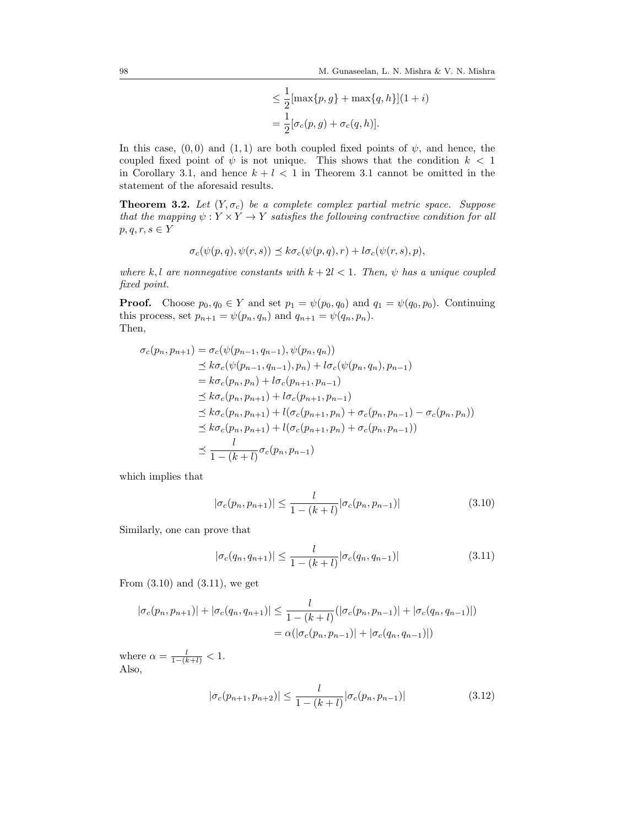$$
\leq \frac{1}{2} [\max\{p, g\} + \max\{q, h\}] (1 + i)
$$

$$
= \frac{1}{2} [\sigma_c(p, g) + \sigma_c(q, h)].
$$

In this case,  $(0,0)$  and  $(1,1)$  are both coupled fixed points of  $\psi$ , and hence, the coupled fixed point of  $\psi$  is not unique. This shows that the condition  $k < 1$ in Corollary [3.1,](#page-4-3) and hence  $k + l < 1$  in Theorem [3.1](#page-2-4) cannot be omitted in the statement of the aforesaid results.

<span id="page-5-3"></span>**Theorem 3.2.** Let  $(Y, \sigma_c)$  be a complete complex partial metric space. Suppose that the mapping  $\psi: Y \times Y \to Y$  satisfies the following contractive condition for all  $p, q, r, s \in Y$ 

$$
\sigma_c(\psi(p,q), \psi(r,s)) \preceq k \sigma_c(\psi(p,q), r) + l \sigma_c(\psi(r,s), p),
$$

where k, l are nonnegative constants with  $k + 2l < 1$ . Then,  $\psi$  has a unique coupled fixed point.

**Proof.** Choose  $p_0, q_0 \in Y$  and set  $p_1 = \psi(p_0, q_0)$  and  $q_1 = \psi(q_0, p_0)$ . Continuing this process, set  $p_{n+1} = \psi(p_n, q_n)$  and  $q_{n+1} = \psi(q_n, p_n)$ . Then,

$$
\sigma_c(p_n, p_{n+1}) = \sigma_c(\psi(p_{n-1}, q_{n-1}), \psi(p_n, q_n))
$$
  
\n
$$
\leq k \sigma_c(\psi(p_{n-1}, q_{n-1}), p_n) + l \sigma_c(\psi(p_n, q_n), p_{n-1})
$$
  
\n
$$
= k \sigma_c(p_n, p_n) + l \sigma_c(p_{n+1}, p_{n-1})
$$
  
\n
$$
\leq k \sigma_c(p_n, p_{n+1}) + l \sigma_c(p_{n+1}, p_{n-1})
$$
  
\n
$$
\leq k \sigma_c(p_n, p_{n+1}) + l(\sigma_c(p_{n+1}, p_n) + \sigma_c(p_n, p_{n-1}) - \sigma_c(p_n, p_n))
$$
  
\n
$$
\leq k \sigma_c(p_n, p_{n+1}) + l(\sigma_c(p_{n+1}, p_n) + \sigma_c(p_n, p_{n-1}))
$$
  
\n
$$
\leq \frac{l}{1 - (k + l)} \sigma_c(p_n, p_{n-1})
$$

which implies that

<span id="page-5-0"></span>
$$
|\sigma_c(p_n, p_{n+1})| \le \frac{l}{1 - (k+l)} |\sigma_c(p_n, p_{n-1})|
$$
\n(3.10)

Similarly, one can prove that

<span id="page-5-1"></span>
$$
|\sigma_c(q_n, q_{n+1})| \le \frac{l}{1 - (k+l)} |\sigma_c(q_n, q_{n-1})|
$$
\n(3.11)

From [\(3.10\)](#page-5-0) and [\(3.11\)](#page-5-1), we get

$$
|\sigma_c(p_n, p_{n+1})| + |\sigma_c(q_n, q_{n+1})| \le \frac{l}{1 - (k+l)} (|\sigma_c(p_n, p_{n-1})| + |\sigma_c(q_n, q_{n-1})|)
$$
  
=  $\alpha(|\sigma_c(p_n, p_{n-1})| + |\sigma_c(q_n, q_{n-1})|)$ 

where  $\alpha = \frac{l}{1-(k+l)} < 1$ . Also,

<span id="page-5-2"></span>
$$
|\sigma_c(p_{n+1}, p_{n+2})| \le \frac{l}{1 - (k+l)} |\sigma_c(p_n, p_{n-1})|
$$
\n(3.12)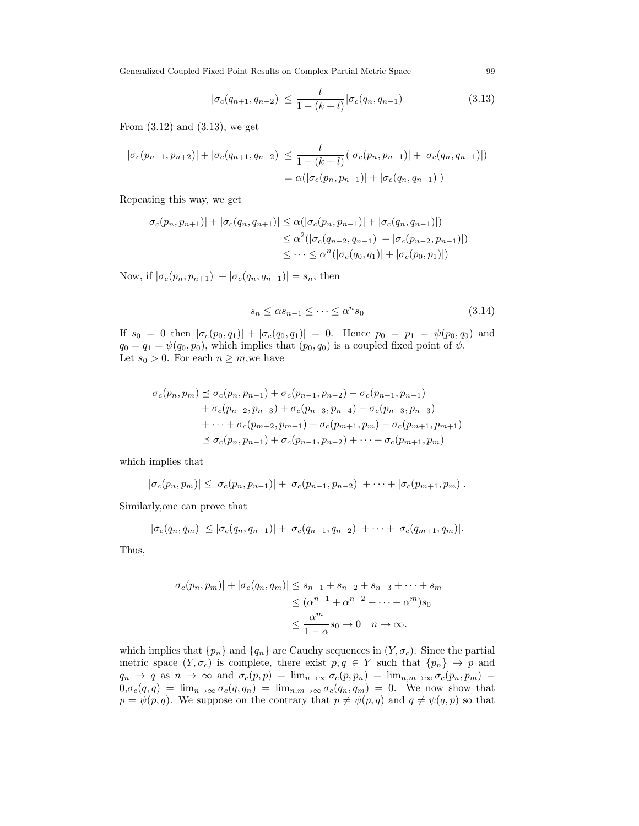Generalized Coupled Fixed Point Results on Complex Partial Metric Space 99

<span id="page-6-0"></span>
$$
|\sigma_c(q_{n+1}, q_{n+2})| \le \frac{l}{1 - (k+l)} |\sigma_c(q_n, q_{n-1})|
$$
\n(3.13)

From [\(3.12\)](#page-5-2) and [\(3.13\)](#page-6-0), we get

$$
|\sigma_c(p_{n+1}, p_{n+2})| + |\sigma_c(q_{n+1}, q_{n+2})| \leq \frac{l}{1 - (k+l)} (|\sigma_c(p_n, p_{n-1})| + |\sigma_c(q_n, q_{n-1})|)
$$
  
=  $\alpha(|\sigma_c(p_n, p_{n-1})| + |\sigma_c(q_n, q_{n-1})|)$ 

Repeating this way, we get

$$
|\sigma_c(p_n, p_{n+1})| + |\sigma_c(q_n, q_{n+1})| \leq \alpha(|\sigma_c(p_n, p_{n-1})| + |\sigma_c(q_n, q_{n-1})|)
$$
  

$$
\leq \alpha^2(|\sigma_c(q_{n-2}, q_{n-1})| + |\sigma_c(p_{n-2}, p_{n-1})|)
$$
  

$$
\leq \cdots \leq \alpha^n(|\sigma_c(q_0, q_1)| + |\sigma_c(p_0, p_1)|)
$$

Now, if  $|\sigma_c(p_n, p_{n+1})| + |\sigma_c(q_n, q_{n+1})| = s_n$ , then

$$
s_n \le \alpha s_{n-1} \le \dots \le \alpha^n s_0 \tag{3.14}
$$

If  $s_0 = 0$  then  $|\sigma_c(p_0, q_1)| + |\sigma_c(q_0, q_1)| = 0$ . Hence  $p_0 = p_1 = \psi(p_0, q_0)$  and  $q_0 = q_1 = \psi(q_0, p_0)$ , which implies that  $(p_0, q_0)$  is a coupled fixed point of  $\psi$ . Let  $s_0 > 0$ . For each  $n \geq m$ , we have

$$
\sigma_c(p_n, p_m) \preceq \sigma_c(p_n, p_{n-1}) + \sigma_c(p_{n-1}, p_{n-2}) - \sigma_c(p_{n-1}, p_{n-1}) \n+ \sigma_c(p_{n-2}, p_{n-3}) + \sigma_c(p_{n-3}, p_{n-4}) - \sigma_c(p_{n-3}, p_{n-3}) \n+ \cdots + \sigma_c(p_{m+2}, p_{m+1}) + \sigma_c(p_{m+1}, p_m) - \sigma_c(p_{m+1}, p_{m+1}) \n\preceq \sigma_c(p_n, p_{n-1}) + \sigma_c(p_{n-1}, p_{n-2}) + \cdots + \sigma_c(p_{m+1}, p_m)
$$

which implies that

$$
|\sigma_c(p_n, p_m)| \leq |\sigma_c(p_n, p_{n-1})| + |\sigma_c(p_{n-1}, p_{n-2})| + \cdots + |\sigma_c(p_{m+1}, p_m)|.
$$

Similarly,one can prove that

$$
|\sigma_c(q_n, q_m)| \leq |\sigma_c(q_n, q_{n-1})| + |\sigma_c(q_{n-1}, q_{n-2})| + \cdots + |\sigma_c(q_{m+1}, q_m)|.
$$

Thus,

$$
|\sigma_c(p_n, p_m)| + |\sigma_c(q_n, q_m)| \le s_{n-1} + s_{n-2} + s_{n-3} + \dots + s_m
$$
  
\n
$$
\le (\alpha^{n-1} + \alpha^{n-2} + \dots + \alpha^m) s_0
$$
  
\n
$$
\le \frac{\alpha^m}{1 - \alpha} s_0 \to 0 \quad n \to \infty.
$$

which implies that  $\{p_n\}$  and  $\{q_n\}$  are Cauchy sequences in  $(Y, \sigma_c)$ . Since the partial metric space  $(Y, \sigma_c)$  is complete, there exist  $p, q \in Y$  such that  $\{p_n\} \to p$  and  $q_n \to q$  as  $n \to \infty$  and  $\sigma_c(p,p) = \lim_{n \to \infty} \sigma_c(p,p_n) = \lim_{n,m \to \infty} \sigma_c(p_n, p_m)$  $0, \sigma_c(q,q) = \lim_{n \to \infty} \sigma_c(q,q_n) = \lim_{n,m \to \infty} \sigma_c(q_n,q_m) = 0$ . We now show that  $p = \psi(p, q)$ . We suppose on the contrary that  $p \neq \psi(p, q)$  and  $q \neq \psi(q, p)$  so that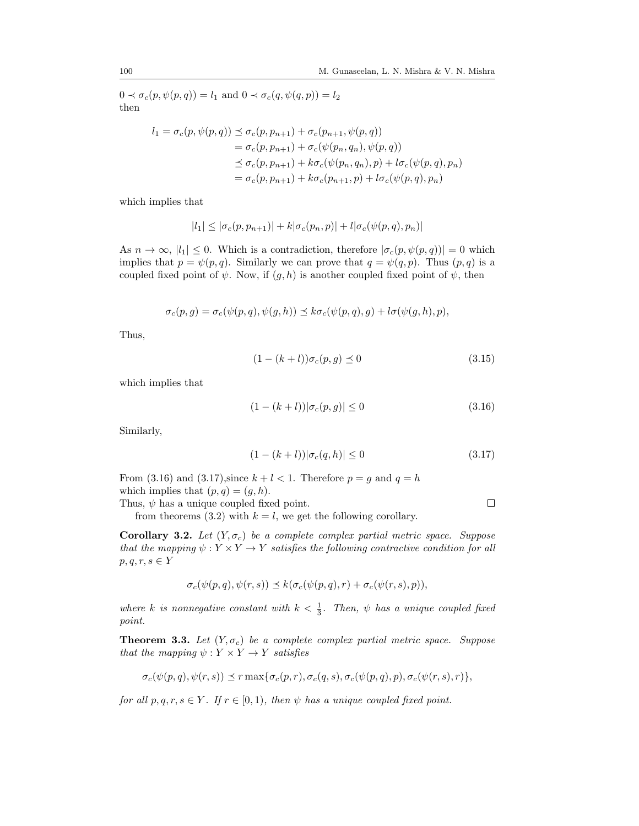$0 \prec \sigma_c(p, \psi(p,q)) = l_1$  and  $0 \prec \sigma_c(q, \psi(q,p)) = l_2$ then

$$
l_1 = \sigma_c(p, \psi(p, q)) \preceq \sigma_c(p, p_{n+1}) + \sigma_c(p_{n+1}, \psi(p, q))
$$
  
=  $\sigma_c(p, p_{n+1}) + \sigma_c(\psi(p_n, q_n), \psi(p, q))$   
 $\preceq \sigma_c(p, p_{n+1}) + k\sigma_c(\psi(p_n, q_n), p) + l\sigma_c(\psi(p, q), p_n)$   
=  $\sigma_c(p, p_{n+1}) + k\sigma_c(p_{n+1}, p) + l\sigma_c(\psi(p, q), p_n)$ 

which implies that

$$
|l_1| \leq |\sigma_c(p, p_{n+1})| + k|\sigma_c(p_n, p)| + l|\sigma_c(\psi(p, q), p_n)|
$$

As  $n \to \infty$ ,  $|l_1| \leq 0$ . Which is a contradiction, therefore  $|\sigma_c(p, \psi(p, q))| = 0$  which implies that  $p = \psi(p, q)$ . Similarly we can prove that  $q = \psi(q, p)$ . Thus  $(p, q)$  is a coupled fixed point of  $\psi$ . Now, if  $(g, h)$  is another coupled fixed point of  $\psi$ , then

$$
\sigma_c(p,g) = \sigma_c(\psi(p,q), \psi(g,h)) \leq k \sigma_c(\psi(p,q),g) + l \sigma(\psi(g,h),p),
$$

Thus,

$$
(1 - (k+l))\sigma_c(p, g) \preceq 0 \tag{3.15}
$$

which implies that

$$
(1 - (k + l))|\sigma_c(p, g)| \le 0
$$
\n(3.16)

Similarly,

$$
(1 - (k + l))|\sigma_c(q, h)| \le 0
$$
\n(3.17)

<span id="page-7-1"></span><span id="page-7-0"></span> $\Box$ 

From [\(3.16\)](#page-7-0) and [\(3.17\)](#page-7-1), since  $k + l < 1$ . Therefore  $p = g$  and  $q = h$ which implies that  $(p, q) = (g, h)$ .

Thus,  $\psi$  has a unique coupled fixed point.

from theorems [\(3.2\)](#page-5-3) with  $k = l$ , we get the following corollary.

Corollary 3.2. Let  $(Y, \sigma_c)$  be a complete complex partial metric space. Suppose that the mapping  $\psi: Y \times Y \to Y$  satisfies the following contractive condition for all  $p, q, r, s \in Y$ 

$$
\sigma_c(\psi(p,q), \psi(r,s)) \preceq k(\sigma_c(\psi(p,q), r) + \sigma_c(\psi(r,s), p)),
$$

where k is nonnegative constant with  $k < \frac{1}{3}$ . Then,  $\psi$  has a unique coupled fixed point.

<span id="page-7-2"></span>**Theorem 3.3.** Let  $(Y, \sigma_c)$  be a complete complex partial metric space. Suppose that the mapping  $\psi: Y \times Y \to Y$  satisfies

$$
\sigma_c(\psi(p,q), \psi(r,s)) \preceq r \max\{\sigma_c(p,r), \sigma_c(q,s), \sigma_c(\psi(p,q),p), \sigma_c(\psi(r,s),r)\},\
$$

for all  $p, q, r, s \in Y$ . If  $r \in [0, 1)$ , then  $\psi$  has a unique coupled fixed point.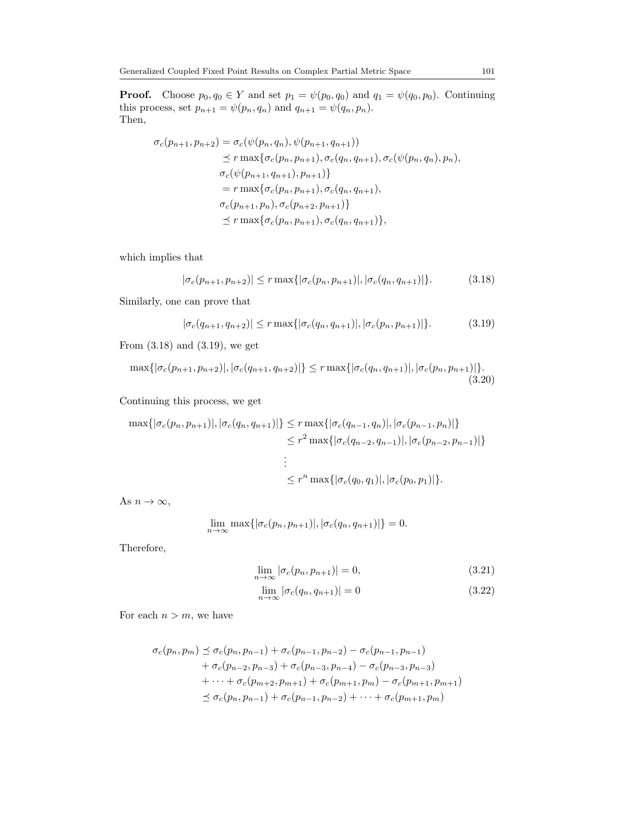**Proof.** Choose  $p_0, q_0 \in Y$  and set  $p_1 = \psi(p_0, q_0)$  and  $q_1 = \psi(q_0, p_0)$ . Continuing this process, set  $p_{n+1} = \psi(p_n, q_n)$  and  $q_{n+1} = \psi(q_n, p_n)$ . Then,

$$
\sigma_c(p_{n+1}, p_{n+2}) = \sigma_c(\psi(p_n, q_n), \psi(p_{n+1}, q_{n+1}))
$$
  
\n
$$
\leq r \max{\sigma_c(p_n, p_{n+1}), \sigma_c(q_n, q_{n+1}), \sigma_c(\psi(p_n, q_n), p_n)},
$$
  
\n
$$
\sigma_c(\psi(p_{n+1}, q_{n+1}), p_{n+1})
$$
  
\n
$$
= r \max{\sigma_c(p_n, p_{n+1}), \sigma_c(q_n, q_{n+1})},
$$
  
\n
$$
\sigma_c(p_{n+1}, p_n), \sigma_c(p_{n+2}, p_{n+1})
$$
  
\n
$$
\leq r \max{\sigma_c(p_n, p_{n+1}), \sigma_c(q_n, q_{n+1})},
$$

which implies that

<span id="page-8-0"></span>
$$
|\sigma_c(p_{n+1}, p_{n+2})| \le r \max\{|\sigma_c(p_n, p_{n+1})|, |\sigma_c(q_n, q_{n+1})|\}.
$$
 (3.18)

Similarly, one can prove that

<span id="page-8-1"></span>
$$
|\sigma_c(q_{n+1}, q_{n+2})| \le r \max\{|\sigma_c(q_n, q_{n+1})|, |\sigma_c(p_n, p_{n+1})|\}.
$$
 (3.19)

From [\(3.18\)](#page-8-0) and [\(3.19\)](#page-8-1), we get

$$
\max\{|\sigma_c(p_{n+1}, p_{n+2})|, |\sigma_c(q_{n+1}, q_{n+2})|\} \le r \max\{|\sigma_c(q_n, q_{n+1})|, |\sigma_c(p_n, p_{n+1})|\}.
$$
\n(3.20)

Continuing this process, we get

$$
\max\{|\sigma_c(p_n, p_{n+1})|, |\sigma_c(q_n, q_{n+1})|\} \le r \max\{|\sigma_c(q_{n-1}, q_n)|, |\sigma_c(p_{n-1}, p_n)|\}
$$
  

$$
\le r^2 \max\{|\sigma_c(q_{n-2}, q_{n-1})|, |\sigma_c(p_{n-2}, p_{n-1})|\}
$$
  

$$
\vdots
$$
  

$$
\le r^n \max\{|\sigma_c(q_0, q_1)|, |\sigma_c(p_0, p_1)|\}.
$$

As  $n \to \infty$ ,

$$
\lim_{n\to\infty} \max\{|\sigma_c(p_n, p_{n+1})|, |\sigma_c(q_n, q_{n+1})|\} = 0.
$$

Therefore,

$$
\lim_{n \to \infty} |\sigma_c(p_n, p_{n+1})| = 0,\tag{3.21}
$$

$$
\lim_{n \to \infty} |\sigma_c(q_n, q_{n+1})| = 0 \tag{3.22}
$$

For each  $n > m$ , we have

$$
\sigma_c(p_n, p_m) \preceq \sigma_c(p_n, p_{n-1}) + \sigma_c(p_{n-1}, p_{n-2}) - \sigma_c(p_{n-1}, p_{n-1}) \n+ \sigma_c(p_{n-2}, p_{n-3}) + \sigma_c(p_{n-3}, p_{n-4}) - \sigma_c(p_{n-3}, p_{n-3}) \n+ \cdots + \sigma_c(p_{m+2}, p_{m+1}) + \sigma_c(p_{m+1}, p_m) - \sigma_c(p_{m+1}, p_{m+1}) \n\preceq \sigma_c(p_n, p_{n-1}) + \sigma_c(p_{n-1}, p_{n-2}) + \cdots + \sigma_c(p_{m+1}, p_m)
$$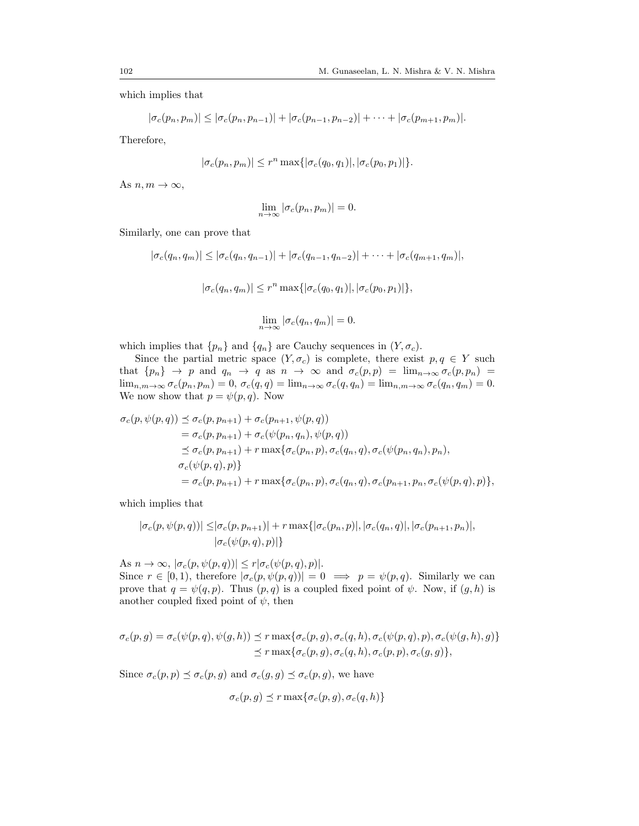which implies that

$$
|\sigma_c(p_n, p_m)| \leq |\sigma_c(p_n, p_{n-1})| + |\sigma_c(p_{n-1}, p_{n-2})| + \cdots + |\sigma_c(p_{m+1}, p_m)|.
$$

Therefore,

$$
|\sigma_c(p_n, p_m)| \le r^n \max\{|\sigma_c(q_0, q_1)|, |\sigma_c(p_0, p_1)|\}.
$$

As  $n, m \to \infty$ ,

$$
\lim_{n \to \infty} |\sigma_c(p_n, p_m)| = 0.
$$

Similarly, one can prove that

$$
|\sigma_c(q_n, q_m)| \leq |\sigma_c(q_n, q_{n-1})| + |\sigma_c(q_{n-1}, q_{n-2})| + \cdots + |\sigma_c(q_{m+1}, q_m)|,
$$
  

$$
|\sigma_c(q_n, q_m)| \leq r^n \max\{|\sigma_c(q_0, q_1)|, |\sigma_c(p_0, p_1)|\},
$$
  

$$
\lim_{n \to \infty} |\sigma_c(q_n, q_m)| = 0.
$$

which implies that  $\{p_n\}$  and  $\{q_n\}$  are Cauchy sequences in  $(Y, \sigma_c)$ .

Since the partial metric space  $(Y, \sigma_c)$  is complete, there exist  $p, q \in Y$  such that  ${p_n} \rightarrow p$  and  $q_n \rightarrow q$  as  $n \rightarrow \infty$  and  $\sigma_c(p,p) = \lim_{n \to \infty} \sigma_c(p,p_n) =$  $\lim_{n,m\to\infty} \sigma_c(p_n, p_m) = 0$ ,  $\sigma_c(q, q) = \lim_{n\to\infty} \sigma_c(q, q_n) = \lim_{n,m\to\infty} \sigma_c(q_n, q_m) = 0$ . We now show that  $p = \psi(p, q)$ . Now

$$
\sigma_c(p, \psi(p, q)) \preceq \sigma_c(p, p_{n+1}) + \sigma_c(p_{n+1}, \psi(p, q))
$$
  
\n
$$
= \sigma_c(p, p_{n+1}) + \sigma_c(\psi(p_n, q_n), \psi(p, q))
$$
  
\n
$$
\preceq \sigma_c(p, p_{n+1}) + r \max\{\sigma_c(p_n, p), \sigma_c(q_n, q), \sigma_c(\psi(p_n, q_n), p_n),
$$
  
\n
$$
\sigma_c(\psi(p, q), p)\}
$$
  
\n
$$
= \sigma_c(p, p_{n+1}) + r \max\{\sigma_c(p_n, p), \sigma_c(q_n, q), \sigma_c(p_{n+1}, p_n, \sigma_c(\psi(p, q), p)\},
$$

which implies that

$$
|\sigma_c(p, \psi(p,q))| \leq |\sigma_c(p, p_{n+1})| + r \max\{|\sigma_c(p_n, p)|, |\sigma_c(q_n, q)|, |\sigma_c(p_{n+1}, p_n)|, |\sigma_c(p, q)|, |\sigma_c(p, q)|, \sigma_c(p, q) \}
$$

As  $n \to \infty$ ,  $|\sigma_c(p, \psi(p,q))| \leq r |\sigma_c(\psi(p,q), p)|$ . Since  $r \in [0, 1)$ , therefore  $|\sigma_c(p, \psi(p, q))| = 0 \implies p = \psi(p, q)$ . Similarly we can prove that  $q = \psi(q, p)$ . Thus  $(p, q)$  is a coupled fixed point of  $\psi$ . Now, if  $(q, h)$  is another coupled fixed point of  $\psi$ , then

$$
\sigma_c(p,g) = \sigma_c(\psi(p,q), \psi(g,h)) \le r \max\{\sigma_c(p,g), \sigma_c(q,h), \sigma_c(\psi(p,q),p), \sigma_c(\psi(g,h),g)\}
$$
  

$$
\le r \max\{\sigma_c(p,g), \sigma_c(q,h), \sigma_c(p,p), \sigma_c(g,g)\},
$$

Since  $\sigma_c(p, p) \preceq \sigma_c(p, g)$  and  $\sigma_c(g, g) \preceq \sigma_c(p, g)$ , we have

$$
\sigma_c(p, g) \preceq r \max\{\sigma_c(p, g), \sigma_c(q, h)\}\
$$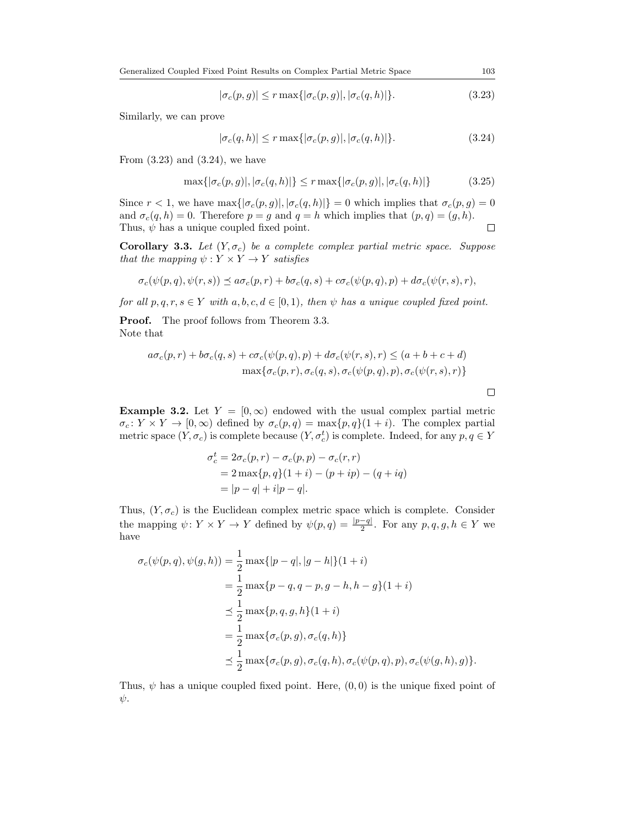$$
|\sigma_c(p,g)| \le r \max\{|\sigma_c(p,g)|, |\sigma_c(q,h)|\}.
$$
\n(3.23)

Similarly, we can prove

$$
|\sigma_c(q, h)| \le r \max\{|\sigma_c(p, g)|, |\sigma_c(q, h)|\}.
$$
\n(3.24)

From  $(3.23)$  and  $(3.24)$ , we have

$$
\max\{|\sigma_c(p,g)|, |\sigma_c(q,h)|\} \le r \max\{|\sigma_c(p,g)|, |\sigma_c(q,h)|\}\tag{3.25}
$$

Since  $r < 1$ , we have  $\max\{|\sigma_c(p,g)|, |\sigma_c(q,h)|\} = 0$  which implies that  $\sigma_c(p,g) = 0$ and  $\sigma_c(q, h) = 0$ . Therefore  $p = g$  and  $q = h$  which implies that  $(p, q) = (g, h)$ . Thus,  $\psi$  has a unique coupled fixed point.  $\Box$ 

Corollary 3.3. Let  $(Y, \sigma_c)$  be a complete complex partial metric space. Suppose that the mapping  $\psi: Y \times Y \to Y$  satisfies

$$
\sigma_c(\psi(p,q),\psi(r,s)) \preceq a \sigma_c(p,r) + b \sigma_c(q,s) + c \sigma_c(\psi(p,q),p) + d \sigma_c(\psi(r,s),r),
$$

for all  $p, q, r, s \in Y$  with  $a, b, c, d \in [0, 1)$ , then  $\psi$  has a unique coupled fixed point.

**Proof.** The proof follows from Theorem [3.3.](#page-7-2) Note that

$$
a\sigma_c(p,r) + b\sigma_c(q,s) + c\sigma_c(\psi(p,q),p) + d\sigma_c(\psi(r,s),r) \le (a+b+c+d)
$$
  

$$
\max{\sigma_c(p,r), \sigma_c(q,s), \sigma_c(\psi(p,q),p), \sigma_c(\psi(r,s),r)}
$$

 $\Box$ 

**Example 3.2.** Let  $Y = [0, \infty)$  endowed with the usual complex partial metric  $\sigma_c: Y \times Y \to [0, \infty)$  defined by  $\sigma_c(p,q) = \max\{p,q\}(1+i)$ . The complex partial metric space  $(Y, \sigma_c)$  is complete because  $(Y, \sigma_c^t)$  is complete. Indeed, for any  $p, q \in Y$ 

$$
\sigma_c^t = 2\sigma_c(p, r) - \sigma_c(p, p) - \sigma_c(r, r)
$$
  
= 2 max{p, q}(1 + i) - (p + ip) - (q + iq)  
= |p - q| + i|p - q|.

Thus,  $(Y, \sigma_c)$  is the Euclidean complex metric space which is complete. Consider the mapping  $\psi \colon Y \times Y \to Y$  defined by  $\psi(p,q) = \frac{|p-q|}{2}$ . For any  $p,q,g,h \in Y$  we have

$$
\sigma_c(\psi(p,q), \psi(g, h)) = \frac{1}{2} \max\{|p-q|, |g-h|\}(1+i)
$$
  
=  $\frac{1}{2} \max\{p-q, q-p, g-h, h-g\}(1+i)$   
 $\leq \frac{1}{2} \max\{p, q, g, h\}(1+i)$   
=  $\frac{1}{2} \max\{\sigma_c(p, g), \sigma_c(q, h)\}$   
 $\leq \frac{1}{2} \max\{\sigma_c(p, g), \sigma_c(q, h), \sigma_c(\psi(p, q), p), \sigma_c(\psi(g, h), g)\}.$ 

Thus,  $\psi$  has a unique coupled fixed point. Here,  $(0, 0)$  is the unique fixed point of  $\psi$ .

<span id="page-10-1"></span><span id="page-10-0"></span>